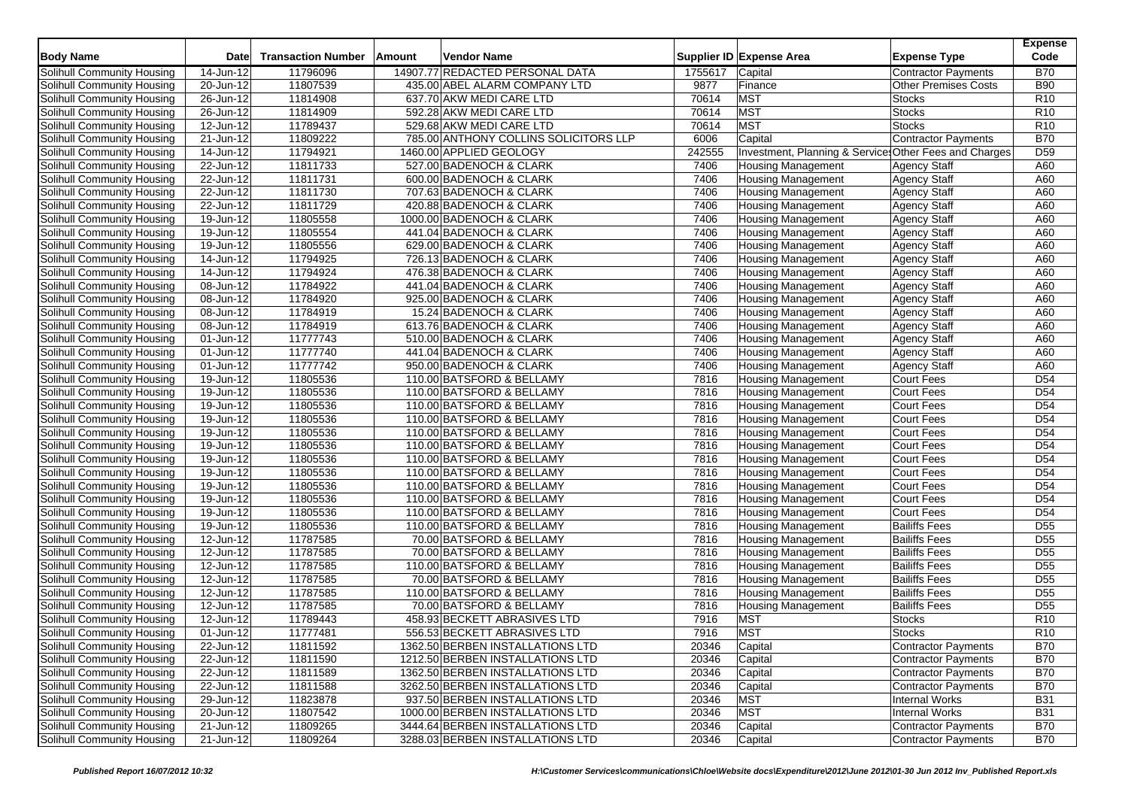| <b>Body Name</b>                  | <b>Date</b>             | <b>Transaction Number</b> | Amount | <b>Vendor Name</b>                                 |         | Supplier ID Expense Area                               | <b>Expense Type</b>                        | <b>Expense</b><br>Code |
|-----------------------------------|-------------------------|---------------------------|--------|----------------------------------------------------|---------|--------------------------------------------------------|--------------------------------------------|------------------------|
| Solihull Community Housing        | 14-Jun-12               | 11796096                  |        | 14907.77 REDACTED PERSONAL DATA                    | 1755617 | Capital                                                | <b>Contractor Payments</b>                 | <b>B70</b>             |
| Solihull Community Housing        | 20-Jun-12               | 11807539                  |        | 435.00 ABEL ALARM COMPANY LTD                      | 9877    | Finance                                                | <b>Other Premises Costs</b>                | <b>B90</b>             |
| Solihull Community Housing        | 26-Jun-12               | 11814908                  |        | 637.70 AKW MEDI CARE LTD                           | 70614   | <b>MST</b>                                             | <b>Stocks</b>                              | R <sub>10</sub>        |
| Solihull Community Housing        | 26-Jun-12               | 11814909                  |        | 592.28 AKW MEDI CARE LTD                           | 70614   | <b>MST</b>                                             | <b>Stocks</b>                              | R <sub>10</sub>        |
| Solihull Community Housing        | 12-Jun-12               | 11789437                  |        | 529.68 AKW MEDI CARE LTD                           | 70614   | <b>MST</b>                                             | <b>Stocks</b>                              | R <sub>10</sub>        |
| Solihull Community Housing        | 21-Jun-12               | 11809222                  |        | 785.00 ANTHONY COLLINS SOLICITORS LLP              | 6006    | Capital                                                | Contractor Payments                        | <b>B70</b>             |
| Solihull Community Housing        | 14-Jun-12               | 11794921                  |        | 1460.00 APPLIED GEOLOGY                            | 242555  | Investment, Planning & Service Other Fees and Charges  |                                            | D <sub>59</sub>        |
| Solihull Community Housing        | 22-Jun-12               | 11811733                  |        | 527.00 BADENOCH & CLARK                            | 7406    | <b>Housing Management</b>                              | <b>Agency Staff</b>                        | A60                    |
| Solihull Community Housing        | 22-Jun-12               | 11811731                  |        | 600.00 BADENOCH & CLARK                            | 7406    | <b>Housing Management</b>                              | Agency Staff                               | A60                    |
|                                   | $\overline{22}$ -Jun-12 |                           |        |                                                    | 7406    |                                                        |                                            | A60                    |
| Solihull Community Housing        | 22-Jun-12               | 11811730<br>11811729      |        | 707.63 BADENOCH & CLARK<br>420.88 BADENOCH & CLARK | 7406    | <b>Housing Management</b><br><b>Housing Management</b> | <b>Agency Staff</b><br><b>Agency Staff</b> | A60                    |
| Solihull Community Housing        |                         |                           |        |                                                    |         |                                                        |                                            |                        |
| Solihull Community Housing        | 19-Jun-12               | 11805558                  |        | 1000.00 BADENOCH & CLARK                           | 7406    | <b>Housing Management</b>                              | <b>Agency Staff</b>                        | A60                    |
| Solihull Community Housing        | 19-Jun-12               | 11805554                  |        | 441.04 BADENOCH & CLARK                            | 7406    | <b>Housing Management</b>                              | <b>Agency Staff</b>                        | A60                    |
| Solihull Community Housing        | 19-Jun-12               | 11805556                  |        | 629.00 BADENOCH & CLARK                            | 7406    | <b>Housing Management</b>                              | <b>Agency Staff</b>                        | A60                    |
| Solihull Community Housing        | 14-Jun-12               | 11794925                  |        | 726.13 BADENOCH & CLARK                            | 7406    | <b>Housing Management</b>                              | <b>Agency Staff</b>                        | A60                    |
| Solihull Community Housing        | 14-Jun-12               | 11794924                  |        | 476.38 BADENOCH & CLARK                            | 7406    | <b>Housing Management</b>                              | <b>Agency Staff</b>                        | A60                    |
| Solihull Community Housing        | 08-Jun-12               | 11784922                  |        | 441.04 BADENOCH & CLARK                            | 7406    | <b>Housing Management</b>                              | <b>Agency Staff</b>                        | A60                    |
| Solihull Community Housing        | 08-Jun-12               | 11784920                  |        | 925.00 BADENOCH & CLARK                            | 7406    | <b>Housing Management</b>                              | <b>Agency Staff</b>                        | A60                    |
| Solihull Community Housing        | 08-Jun-12               | 11784919                  |        | 15.24 BADENOCH & CLARK                             | 7406    | <b>Housing Management</b>                              | <b>Agency Staff</b>                        | A60                    |
| Solihull Community Housing        | 08-Jun-12               | 11784919                  |        | 613.76 BADENOCH & CLARK                            | 7406    | <b>Housing Management</b>                              | <b>Agency Staff</b>                        | A60                    |
| Solihull Community Housing        | 01-Jun-12               | 11777743                  |        | 510.00 BADENOCH & CLARK                            | 7406    | <b>Housing Management</b>                              | <b>Agency Staff</b>                        | A60                    |
| Solihull Community Housing        | 01-Jun-12               | 11777740                  |        | 441.04 BADENOCH & CLARK                            | 7406    | <b>Housing Management</b>                              | <b>Agency Staff</b>                        | A60                    |
| Solihull Community Housing        | 01-Jun-12               | 11777742                  |        | 950.00 BADENOCH & CLARK                            | 7406    | <b>Housing Management</b>                              | Agency Staff                               | A60                    |
| Solihull Community Housing        | 19-Jun-12               | 11805536                  |        | 110.00 BATSFORD & BELLAMY                          | 7816    | <b>Housing Management</b>                              | <b>Court Fees</b>                          | D <sub>54</sub>        |
| Solihull Community Housing        | 19-Jun-12               | 11805536                  |        | 110.00 BATSFORD & BELLAMY                          | 7816    | Housing Management                                     | <b>Court Fees</b>                          | D <sub>54</sub>        |
| Solihull Community Housing        | 19-Jun-12               | 11805536                  |        | 110.00 BATSFORD & BELLAMY                          | 7816    | <b>Housing Management</b>                              | <b>Court Fees</b>                          | D <sub>54</sub>        |
| Solihull Community Housing        | 19-Jun-12               | 11805536                  |        | 110.00 BATSFORD & BELLAMY                          | 7816    | <b>Housing Management</b>                              | <b>Court Fees</b>                          | D <sub>54</sub>        |
| Solihull Community Housing        | 19-Jun-12               | 11805536                  |        | 110.00 BATSFORD & BELLAMY                          | 7816    | <b>Housing Management</b>                              | <b>Court Fees</b>                          | D <sub>54</sub>        |
| Solihull Community Housing        | 19-Jun-12               | 11805536                  |        | 110.00 BATSFORD & BELLAMY                          | 7816    | <b>Housing Management</b>                              | <b>Court Fees</b>                          | D <sub>54</sub>        |
| Solihull Community Housing        | 19-Jun-12               | 11805536                  |        | 110.00 BATSFORD & BELLAMY                          | 7816    | <b>Housing Management</b>                              | <b>Court Fees</b>                          | D <sub>54</sub>        |
| Solihull Community Housing        | 19-Jun-12               | 11805536                  |        | 110.00 BATSFORD & BELLAMY                          | 7816    | <b>Housing Management</b>                              | <b>Court Fees</b>                          | D <sub>54</sub>        |
| Solihull Community Housing        | 19-Jun-12               | 11805536                  |        | 110.00 BATSFORD & BELLAMY                          | 7816    | <b>Housing Management</b>                              | <b>Court Fees</b>                          | D <sub>54</sub>        |
| Solihull Community Housing        | 19-Jun-12               | 11805536                  |        | 110.00 BATSFORD & BELLAMY                          | 7816    | <b>Housing Management</b>                              | <b>Court Fees</b>                          | D <sub>54</sub>        |
| Solihull Community Housing        | 19-Jun-12               | 11805536                  |        | 110.00 BATSFORD & BELLAMY                          | 7816    | <b>Housing Management</b>                              | <b>Court Fees</b>                          | D <sub>54</sub>        |
| Solihull Community Housing        | 19-Jun-12               | 11805536                  |        | 110.00 BATSFORD & BELLAMY                          | 7816    | <b>Housing Management</b>                              | <b>Bailiffs Fees</b>                       | D <sub>55</sub>        |
| <b>Solihull Community Housing</b> | 12-Jun-12               | 11787585                  |        | 70.00 BATSFORD & BELLAMY                           | 7816    | <b>Housing Management</b>                              | <b>Bailiffs Fees</b>                       | $\overline{D55}$       |
| Solihull Community Housing        | 12-Jun-12               | 11787585                  |        | 70.00 BATSFORD & BELLAMY                           | 7816    | <b>Housing Management</b>                              | <b>Bailiffs Fees</b>                       | D <sub>55</sub>        |
| Solihull Community Housing        | 12-Jun-12               | 11787585                  |        | 110.00 BATSFORD & BELLAMY                          | 7816    | <b>Housing Management</b>                              | <b>Bailiffs Fees</b>                       | D <sub>55</sub>        |
| Solihull Community Housing        | 12-Jun-12               | 11787585                  |        | 70.00 BATSFORD & BELLAMY                           | 7816    | <b>Housing Management</b>                              | <b>Bailiffs Fees</b>                       | D <sub>55</sub>        |
| Solihull Community Housing        | 12-Jun-12               | 11787585                  |        | 110.00 BATSFORD & BELLAMY                          | 7816    | <b>Housing Management</b>                              | <b>Bailiffs Fees</b>                       | D <sub>55</sub>        |
| Solihull Community Housing        | 12-Jun-12               | 11787585                  |        | 70.00 BATSFORD & BELLAMY                           | 7816    | <b>Housing Management</b>                              | <b>Bailiffs Fees</b>                       | D <sub>55</sub>        |
| Solihull Community Housing        | 12-Jun-12               | 11789443                  |        | 458.93 BECKETT ABRASIVES LTD                       | 7916    | <b>MST</b>                                             | <b>Stocks</b>                              | R <sub>10</sub>        |
| Solihull Community Housing        | 01-Jun-12               | 11777481                  |        | 556.53 BECKETT ABRASIVES LTD                       | 7916    | <b>MST</b>                                             | <b>Stocks</b>                              | R <sub>10</sub>        |
| Solihull Community Housing        | 22-Jun-12               | 11811592                  |        | 1362.50 BERBEN INSTALLATIONS LTD                   | 20346   | Capital                                                | Contractor Payments                        | <b>B70</b>             |
| Solihull Community Housing        | 22-Jun-12               | 11811590                  |        | 1212.50 BERBEN INSTALLATIONS LTD                   | 20346   | Capital                                                | Contractor Payments                        | <b>B70</b>             |
| Solihull Community Housing        | 22-Jun-12               | 11811589                  |        | 1362.50 BERBEN INSTALLATIONS LTD                   | 20346   | Capital                                                | <b>Contractor Payments</b>                 | <b>B70</b>             |
| Solihull Community Housing        | 22-Jun-12               | 11811588                  |        | 3262.50 BERBEN INSTALLATIONS LTD                   | 20346   | Capital                                                | Contractor Payments                        | <b>B70</b>             |
| Solihull Community Housing        | 29-Jun-12               | 11823878                  |        | 937.50 BERBEN INSTALLATIONS LTD                    | 20346   | <b>MST</b>                                             | Internal Works                             | <b>B31</b>             |
| Solihull Community Housing        | 20-Jun-12               | 11807542                  |        | 1000.00 BERBEN INSTALLATIONS LTD                   | 20346   | <b>MST</b>                                             | <b>Internal Works</b>                      | <b>B31</b>             |
| Solihull Community Housing        | 21-Jun-12               | 11809265                  |        | 3444.64 BERBEN INSTALLATIONS LTD                   | 20346   | Capital                                                | Contractor Payments                        | <b>B70</b>             |
| Solihull Community Housing        | $\overline{21}$ -Jun-12 | 11809264                  |        | 3288.03 BERBEN INSTALLATIONS LTD                   | 20346   | Capital                                                | Contractor Payments                        | <b>B70</b>             |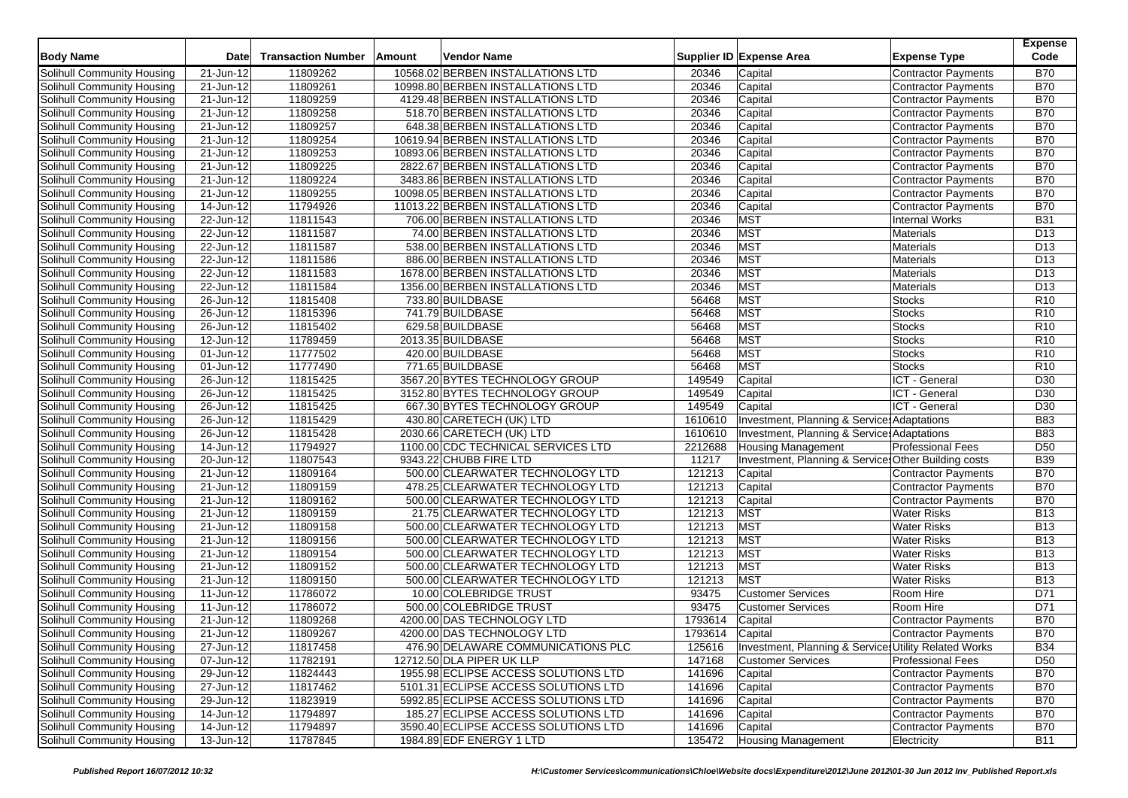| <b>Body Name</b>           | Date                    | <b>Transaction Number</b> | Amount | Vendor Name               |                                      |         | Supplier ID Expense Area                              | <b>Expense Type</b>        | <b>Expense</b><br>Code |
|----------------------------|-------------------------|---------------------------|--------|---------------------------|--------------------------------------|---------|-------------------------------------------------------|----------------------------|------------------------|
| Solihull Community Housing | 21-Jun-12               | 11809262                  |        |                           | 10568.02 BERBEN INSTALLATIONS LTD    | 20346   | Capital                                               | <b>Contractor Payments</b> | <b>B70</b>             |
| Solihull Community Housing | 21-Jun-12               | 11809261                  |        |                           | 10998.80 BERBEN INSTALLATIONS LTD    | 20346   | Capital                                               | <b>Contractor Payments</b> | <b>B70</b>             |
| Solihull Community Housing | 21-Jun-12               | 11809259                  |        |                           | 4129.48 BERBEN INSTALLATIONS LTD     | 20346   | Capital                                               | Contractor Payments        | <b>B70</b>             |
| Solihull Community Housing | 21-Jun-12               | 11809258                  |        |                           | 518.70 BERBEN INSTALLATIONS LTD      | 20346   | Capital                                               | <b>Contractor Payments</b> | <b>B70</b>             |
| Solihull Community Housing | 21-Jun-12               | 11809257                  |        |                           | 648.38 BERBEN INSTALLATIONS LTD      | 20346   | Capital                                               | <b>Contractor Payments</b> | <b>B70</b>             |
| Solihull Community Housing | 21-Jun-12               | 11809254                  |        |                           | 10619.94 BERBEN INSTALLATIONS LTD    | 20346   | Capital                                               | <b>Contractor Payments</b> | <b>B70</b>             |
| Solihull Community Housing | $\overline{21}$ -Jun-12 | 11809253                  |        |                           | 10893.06 BERBEN INSTALLATIONS LTD    | 20346   | Capital                                               | <b>Contractor Payments</b> | <b>B70</b>             |
| Solihull Community Housing | 21-Jun-12               | 11809225                  |        |                           | 2822.67 BERBEN INSTALLATIONS LTD     | 20346   | Capital                                               | <b>Contractor Payments</b> | <b>B70</b>             |
| Solihull Community Housing | 21-Jun-12               | 11809224                  |        |                           | 3483.86 BERBEN INSTALLATIONS LTD     | 20346   | Capital                                               | <b>Contractor Payments</b> | <b>B70</b>             |
| Solihull Community Housing | 21-Jun-12               | 11809255                  |        |                           | 10098.05 BERBEN INSTALLATIONS LTD    | 20346   | Capital                                               | <b>Contractor Payments</b> | <b>B70</b>             |
| Solihull Community Housing | 14-Jun-12               | 11794926                  |        |                           | 11013.22 BERBEN INSTALLATIONS LTD    | 20346   | Capital                                               | <b>Contractor Payments</b> | <b>B70</b>             |
| Solihull Community Housing | 22-Jun-12               | 11811543                  |        |                           | 706.00 BERBEN INSTALLATIONS LTD      | 20346   | <b>MST</b>                                            | Internal Works             | <b>B31</b>             |
| Solihull Community Housing | 22-Jun-12               | 11811587                  |        |                           | 74.00 BERBEN INSTALLATIONS LTD       | 20346   | <b>MST</b>                                            | Materials                  | D <sub>13</sub>        |
| Solihull Community Housing | 22-Jun-12               | 11811587                  |        |                           | 538.00 BERBEN INSTALLATIONS LTD      | 20346   | <b>MST</b>                                            | Materials                  | D <sub>13</sub>        |
| Solihull Community Housing | 22-Jun-12               | 11811586                  |        |                           | 886.00 BERBEN INSTALLATIONS LTD      | 20346   | <b>MST</b>                                            | <b>Materials</b>           | D <sub>13</sub>        |
| Solihull Community Housing | 22-Jun-12               | 11811583                  |        |                           | 1678.00 BERBEN INSTALLATIONS LTD     | 20346   | <b>MST</b>                                            | Materials                  | D <sub>13</sub>        |
| Solihull Community Housing | $22$ -Jun-12            | 11811584                  |        |                           | 1356.00 BERBEN INSTALLATIONS LTD     | 20346   | <b>MST</b>                                            | Materials                  | D <sub>13</sub>        |
| Solihull Community Housing | 26-Jun-12               | 11815408                  |        | 733.80 BUILDBASE          |                                      | 56468   | <b>MST</b>                                            | <b>Stocks</b>              | R <sub>10</sub>        |
| Solihull Community Housing | 26-Jun-12               | 11815396                  |        | 741.79 BUILDBASE          |                                      | 56468   | <b>MST</b>                                            | <b>Stocks</b>              | R <sub>10</sub>        |
| Solihull Community Housing | 26-Jun-12               | 11815402                  |        | 629.58 BUILDBASE          |                                      | 56468   | <b>MST</b>                                            | <b>Stocks</b>              | R <sub>10</sub>        |
| Solihull Community Housing | 12-Jun-12               | 11789459                  |        | 2013.35 BUILDBASE         |                                      | 56468   | <b>MST</b>                                            | <b>Stocks</b>              | R <sub>10</sub>        |
| Solihull Community Housing | 01-Jun-12               | 11777502                  |        | 420.00 BUILDBASE          |                                      | 56468   | <b>MST</b>                                            | <b>Stocks</b>              | R <sub>10</sub>        |
| Solihull Community Housing | 01-Jun-12               | 11777490                  |        | 771.65 BUILDBASE          |                                      | 56468   | <b>MST</b>                                            | <b>Stocks</b>              | R10                    |
| Solihull Community Housing | $26$ -Jun-12            | 11815425                  |        |                           | 3567.20 BYTES TECHNOLOGY GROUP       | 149549  | Capital                                               | ICT - General              | D30                    |
| Solihull Community Housing | $\overline{26}$ -Jun-12 | 11815425                  |        |                           | 3152.80 BYTES TECHNOLOGY GROUP       | 149549  | Capital                                               | ICT - General              | D <sub>30</sub>        |
| Solihull Community Housing | 26-Jun-12               | 11815425                  |        |                           | 667.30 BYTES TECHNOLOGY GROUP        | 149549  | Capital                                               | ICT - General              | D30                    |
| Solihull Community Housing | $\overline{26}$ -Jun-12 | 11815429                  |        |                           | 430.80 CARETECH (UK) LTD             | 1610610 | Investment, Planning & Service: Adaptations           |                            | <b>B83</b>             |
| Solihull Community Housing | $\overline{26}$ -Jun-12 | 11815428                  |        |                           | 2030.66 CARETECH (UK) LTD            | 1610610 | Investment, Planning & Services Adaptations           |                            | <b>B83</b>             |
| Solihull Community Housing | 14-Jun-12               | 11794927                  |        |                           | 1100.00 CDC TECHNICAL SERVICES LTD   | 2212688 | <b>Housing Management</b>                             | <b>Professional Fees</b>   | D <sub>50</sub>        |
| Solihull Community Housing | $20$ -Jun-12            | 11807543                  |        | 9343.22 CHUBB FIRE LTD    |                                      | 11217   | Investment, Planning & Service: Other Building costs  |                            | <b>B39</b>             |
| Solihull Community Housing | $\overline{21}$ -Jun-12 | 11809164                  |        |                           | 500.00 CLEARWATER TECHNOLOGY LTD     | 121213  | Capital                                               | <b>Contractor Payments</b> | <b>B70</b>             |
| Solihull Community Housing | 21-Jun-12               | 11809159                  |        |                           | 478.25 CLEARWATER TECHNOLOGY LTD     | 121213  | Capital                                               | <b>Contractor Payments</b> | <b>B70</b>             |
| Solihull Community Housing | $\overline{21}$ -Jun-12 | 11809162                  |        |                           | 500.00 CLEARWATER TECHNOLOGY LTD     | 121213  | Capital                                               | <b>Contractor Payments</b> | <b>B70</b>             |
| Solihull Community Housing | 21-Jun-12               | 11809159                  |        |                           | 21.75 CLEARWATER TECHNOLOGY LTD      | 121213  | MST                                                   | <b>Water Risks</b>         | <b>B13</b>             |
| Solihull Community Housing | 21-Jun-12               | 11809158                  |        |                           | 500.00 CLEARWATER TECHNOLOGY LTD     | 121213  | <b>MST</b>                                            | <b>Water Risks</b>         | <b>B13</b>             |
| Solihull Community Housing | 21-Jun-12               | 11809156                  |        |                           | 500.00 CLEARWATER TECHNOLOGY LTD     | 121213  | <b>MST</b>                                            | <b>Water Risks</b>         | <b>B13</b>             |
| Solihull Community Housing | 21-Jun-12               | 11809154                  |        |                           | 500.00 CLEARWATER TECHNOLOGY LTD     | 121213  | <b>MST</b>                                            | <b>Water Risks</b>         | <b>B13</b>             |
| Solihull Community Housing | 21-Jun-12               | 11809152                  |        |                           | 500.00 CLEARWATER TECHNOLOGY LTD     | 121213  | <b>MST</b>                                            | <b>Water Risks</b>         | <b>B13</b>             |
| Solihull Community Housing | 21-Jun-12               | 11809150                  |        |                           | 500.00 CLEARWATER TECHNOLOGY LTD     | 121213  | <b>MST</b>                                            | <b>Water Risks</b>         | <b>B13</b>             |
| Solihull Community Housing | 11-Jun-12               | 11786072                  |        |                           | 10.00 COLEBRIDGE TRUST               | 93475   | <b>Customer Services</b>                              | Room Hire                  | D71                    |
| Solihull Community Housing | 11-Jun-12               | 11786072                  |        |                           | 500.00 COLEBRIDGE TRUST              | 93475   | <b>Customer Services</b>                              | Room Hire                  | D71                    |
| Solihull Community Housing | 21-Jun-12               | 11809268                  |        |                           | 4200.00 DAS TECHNOLOGY LTD           | 1793614 | Capital                                               | <b>Contractor Payments</b> | <b>B70</b>             |
| Solihull Community Housing | 21-Jun-12               | 11809267                  |        |                           | 4200.00 DAS TECHNOLOGY LTD           | 1793614 | Capital                                               | <b>Contractor Payments</b> | <b>B70</b>             |
| Solihull Community Housing | 27-Jun-12               | 11817458                  |        |                           | 476.90 DELAWARE COMMUNICATIONS PLC   | 125616  | Investment, Planning & Services Utility Related Works |                            | <b>B34</b>             |
| Solihull Community Housing | 07-Jun-12               | 11782191                  |        | 12712.50 DLA PIPER UK LLP |                                      | 147168  | <b>Customer Services</b>                              | <b>Professional Fees</b>   | D <sub>50</sub>        |
| Solihull Community Housing | 29-Jun-12               | 11824443                  |        |                           | 1955.98 ECLIPSE ACCESS SOLUTIONS LTD | 141696  | Capital                                               | <b>Contractor Payments</b> | <b>B70</b>             |
| Solihull Community Housing | 27-Jun-12               | 11817462                  |        |                           | 5101.31 ECLIPSE ACCESS SOLUTIONS LTD | 141696  | Capital                                               | Contractor Payments        | <b>B70</b>             |
| Solihull Community Housing | 29-Jun-12               | 11823919                  |        |                           | 5992.85 ECLIPSE ACCESS SOLUTIONS LTD | 141696  | Capital                                               | <b>Contractor Payments</b> | <b>B70</b>             |
| Solihull Community Housing | 14-Jun-12               | 11794897                  |        |                           | 185.27 ECLIPSE ACCESS SOLUTIONS LTD  | 141696  | Capital                                               | <b>Contractor Payments</b> | <b>B70</b>             |
| Solihull Community Housing | 14-Jun-12               | 11794897                  |        |                           | 3590.40 ECLIPSE ACCESS SOLUTIONS LTD | 141696  | Capital                                               | Contractor Payments        | <b>B70</b>             |
| Solihull Community Housing | $13 - Jun-12$           | 11787845                  |        | 1984.89 EDF ENERGY 1 LTD  |                                      | 135472  | Housing Management                                    | Electricity                | <b>B11</b>             |
|                            |                         |                           |        |                           |                                      |         |                                                       |                            |                        |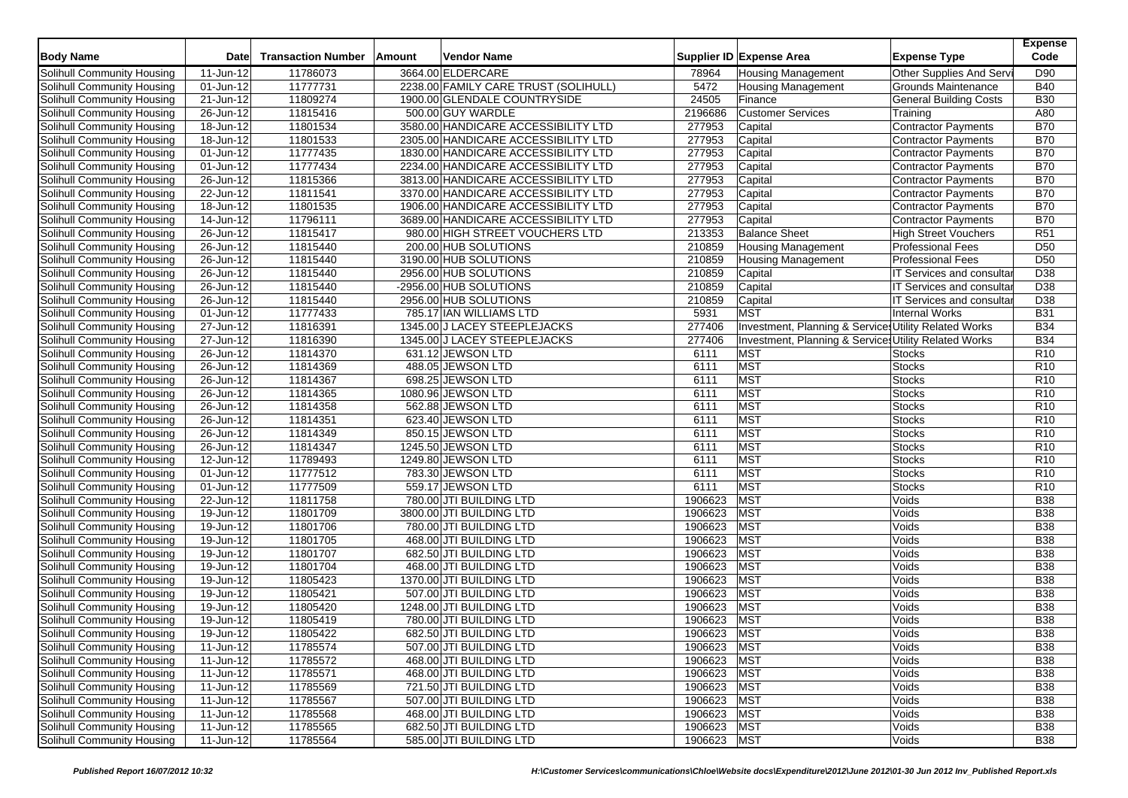| <b>Body Name</b>                  | <b>Date</b>             | <b>Transaction Number</b> | Amount | <b>Vendor Name</b>                   |         | Supplier ID Expense Area                              | <b>Expense Type</b>              | <b>Expense</b><br>Code |
|-----------------------------------|-------------------------|---------------------------|--------|--------------------------------------|---------|-------------------------------------------------------|----------------------------------|------------------------|
| Solihull Community Housing        | 11-Jun-12               | 11786073                  |        | 3664.00 ELDERCARE                    | 78964   | <b>Housing Management</b>                             | Other Supplies And Servi         | D90                    |
| Solihull Community Housing        | 01-Jun-12               | 11777731                  |        | 2238.00 FAMILY CARE TRUST (SOLIHULL) | 5472    | <b>Housing Management</b>                             | <b>Grounds Maintenance</b>       | <b>B40</b>             |
| Solihull Community Housing        | 21-Jun-12               | 11809274                  |        | 1900.00 GLENDALE COUNTRYSIDE         | 24505   | Finance                                               | <b>General Building Costs</b>    | <b>B30</b>             |
| Solihull Community Housing        | 26-Jun-12               | 11815416                  |        | 500.00 GUY WARDLE                    | 2196686 | <b>Customer Services</b>                              | Training                         | A80                    |
| Solihull Community Housing        | 18-Jun-12               | 11801534                  |        | 3580.00 HANDICARE ACCESSIBILITY LTD  | 277953  | Capital                                               | <b>Contractor Payments</b>       | <b>B70</b>             |
| Solihull Community Housing        | 18-Jun-12               | 11801533                  |        | 2305.00 HANDICARE ACCESSIBILITY LTD  | 277953  | Capital                                               | Contractor Payments              | <b>B70</b>             |
| Solihull Community Housing        | 01-Jun-12               | 11777435                  |        | 1830.00 HANDICARE ACCESSIBILITY LTD  | 277953  | Capital                                               | <b>Contractor Payments</b>       | <b>B70</b>             |
| Solihull Community Housing        | 01-Jun-12               | 11777434                  |        | 2234.00 HANDICARE ACCESSIBILITY LTD  | 277953  | Capital                                               | <b>Contractor Payments</b>       | <b>B70</b>             |
| Solihull Community Housing        | 26-Jun-12               | 11815366                  |        | 3813.00 HANDICARE ACCESSIBILITY LTD  | 277953  | Capital                                               | Contractor Payments              | <b>B70</b>             |
| Solihull Community Housing        | 22-Jun-12               | 11811541                  |        | 3370.00 HANDICARE ACCESSIBILITY LTD  | 277953  | Capital                                               | Contractor Payments              | <b>B70</b>             |
| Solihull Community Housing        | 18-Jun-12               | 11801535                  |        | 1906.00 HANDICARE ACCESSIBILITY LTD  | 277953  | Capital                                               | <b>Contractor Payments</b>       | <b>B70</b>             |
| Solihull Community Housing        | 14-Jun-12               | 11796111                  |        | 3689.00 HANDICARE ACCESSIBILITY LTD  | 277953  | Capital                                               | Contractor Payments              | <b>B70</b>             |
| Solihull Community Housing        | 26-Jun-12               | 11815417                  |        | 980.00 HIGH STREET VOUCHERS LTD      | 213353  | <b>Balance Sheet</b>                                  | <b>High Street Vouchers</b>      | R51                    |
| Solihull Community Housing        | 26-Jun-12               | 11815440                  |        | 200.00 HUB SOLUTIONS                 | 210859  | <b>Housing Management</b>                             | <b>Professional Fees</b>         | D <sub>50</sub>        |
| <b>Solihull Community Housing</b> | 26-Jun-12               | 11815440                  |        | 3190.00 HUB SOLUTIONS                | 210859  | <b>Housing Management</b>                             | <b>Professional Fees</b>         | D <sub>50</sub>        |
| Solihull Community Housing        | $\overline{26}$ -Jun-12 | 11815440                  |        | 2956.00 HUB SOLUTIONS                | 210859  | Capital                                               | IT Services and consultar        | D <sub>38</sub>        |
| Solihull Community Housing        | 26-Jun-12               | 11815440                  |        | -2956.00 HUB SOLUTIONS               | 210859  | Capital                                               | IT Services and consultar        | D38                    |
| Solihull Community Housing        | 26-Jun-12               | 11815440                  |        | 2956.00 HUB SOLUTIONS                | 210859  | Capital                                               | <b>IT Services and consultar</b> | D38                    |
| Solihull Community Housing        | 01-Jun-12               | 11777433                  |        | 785.17 IAN WILLIAMS LTD              | 5931    | <b>MST</b>                                            | <b>Internal Works</b>            | <b>B31</b>             |
| Solihull Community Housing        | 27-Jun-12               | 11816391                  |        | 1345.00 J LACEY STEEPLEJACKS         | 277406  | Investment, Planning & Services Utility Related Works |                                  | <b>B34</b>             |
| Solihull Community Housing        | 27-Jun-12               | 11816390                  |        | 1345.00 J LACEY STEEPLEJACKS         | 277406  | Investment, Planning & Services Utility Related Works |                                  | <b>B34</b>             |
| Solihull Community Housing        | $26$ -Jun-12            | 11814370                  |        | 631.12 JEWSON LTD                    | 6111    | <b>MST</b>                                            | <b>Stocks</b>                    | R <sub>10</sub>        |
| <b>Solihull Community Housing</b> | 26-Jun-12               | 11814369                  |        | 488.05 JEWSON LTD                    | 6111    | <b>MST</b>                                            | <b>Stocks</b>                    | R <sub>10</sub>        |
| Solihull Community Housing        | 26-Jun-12               | 11814367                  |        | 698.25 JEWSON LTD                    | 6111    | MST                                                   | <b>Stocks</b>                    | R <sub>10</sub>        |
| Solihull Community Housing        | $\overline{26}$ -Jun-12 | 11814365                  |        | 1080.96 JEWSON LTD                   | 6111    | <b>MST</b>                                            | <b>Stocks</b>                    | R <sub>10</sub>        |
| Solihull Community Housing        | 26-Jun-12               | 11814358                  |        | 562.88 JEWSON LTD                    | 6111    | MST                                                   | Stocks                           | R <sub>10</sub>        |
| Solihull Community Housing        | 26-Jun-12               | 11814351                  |        | 623.40 JEWSON LTD                    | 6111    | MST                                                   | Stocks                           | R <sub>10</sub>        |
| Solihull Community Housing        | $\overline{26}$ -Jun-12 | 11814349                  |        | 850.15 JEWSON LTD                    | 6111    | <b>MST</b>                                            | <b>Stocks</b>                    | R <sub>10</sub>        |
| Solihull Community Housing        | 26-Jun-12               | 11814347                  |        | 1245.50 JEWSON LTD                   | 6111    | <b>MST</b>                                            | <b>Stocks</b>                    | R <sub>10</sub>        |
| Solihull Community Housing        | 12-Jun-12               | 11789493                  |        | 1249.80 JEWSON LTD                   | 6111    | MST                                                   | <b>Stocks</b>                    | R <sub>10</sub>        |
| Solihull Community Housing        | 01-Jun-12               | 11777512                  |        | 783.30 JEWSON LTD                    | 6111    | <b>MST</b>                                            | <b>Stocks</b>                    | R <sub>10</sub>        |
| Solihull Community Housing        | 01-Jun-12               | 11777509                  |        | 559.17 JEWSON LTD                    | 6111    | MST                                                   | <b>Stocks</b>                    | R <sub>10</sub>        |
| Solihull Community Housing        | 22-Jun-12               | 11811758                  |        | 780.00 JTI BUILDING LTD              | 1906623 | MST                                                   | Voids                            | <b>B38</b>             |
| Solihull Community Housing        | 19-Jun-12               | 11801709                  |        | 3800.00 JTI BUILDING LTD             | 1906623 | <b>MST</b>                                            | Voids                            | <b>B38</b>             |
| Solihull Community Housing        | 19-Jun-12               | 11801706                  |        | 780.00 JTI BUILDING LTD              | 1906623 | <b>MST</b>                                            | Voids                            | <b>B38</b>             |
| Solihull Community Housing        | 19-Jun-12               | 11801705                  |        | 468.00 JTI BUILDING LTD              | 1906623 | <b>MST</b>                                            | Voids                            | <b>B38</b>             |
| Solihull Community Housing        | 19-Jun-12               | 11801707                  |        | 682.50 JTI BUILDING LTD              | 1906623 | <b>MST</b>                                            | Voids                            | <b>B38</b>             |
| Solihull Community Housing        | 19-Jun-12               | 11801704                  |        | 468.00 JTI BUILDING LTD              | 1906623 | <b>MST</b>                                            | Voids                            | <b>B38</b>             |
| Solihull Community Housing        | 19-Jun-12               | 11805423                  |        | 1370.00 JTI BUILDING LTD             | 1906623 | <b>MST</b>                                            | Voids                            | <b>B38</b>             |
| Solihull Community Housing        | 19-Jun-12               | 11805421                  |        | 507.00 JTI BUILDING LTD              | 1906623 | <b>MST</b>                                            | Voids                            | <b>B38</b>             |
| Solihull Community Housing        | 19-Jun-12               | 11805420                  |        | 1248.00 JTI BUILDING LTD             | 1906623 | <b>MST</b>                                            | Voids                            | <b>B38</b>             |
| Solihull Community Housing        | 19-Jun-12               | 11805419                  |        | 780.00 JTI BUILDING LTD              | 1906623 | <b>MST</b>                                            | Voids                            | <b>B38</b>             |
| Solihull Community Housing        | 19-Jun-12               | 11805422                  |        | 682.50 JTI BUILDING LTD              | 1906623 | MST                                                   | Voids                            | <b>B38</b>             |
| Solihull Community Housing        | 11-Jun-12               | 11785574                  |        | 507.00 JTI BUILDING LTD              | 1906623 | <b>MST</b>                                            | Voids                            | <b>B38</b>             |
| Solihull Community Housing        | 11-Jun-12               | 11785572                  |        | 468.00 JTI BUILDING LTD              | 1906623 | <b>MST</b>                                            | Voids                            | <b>B38</b>             |
| Solihull Community Housing        | 11-Jun-12               | 11785571                  |        | 468.00 JTI BUILDING LTD              | 1906623 | <b>MST</b>                                            | Voids                            | <b>B38</b>             |
| Solihull Community Housing        | 11-Jun-12               | 11785569                  |        | 721.50 JTI BUILDING LTD              | 1906623 | <b>MST</b>                                            | Voids                            | <b>B38</b>             |
| Solihull Community Housing        | 11-Jun-12               | 11785567                  |        | 507.00 JTI BUILDING LTD              | 1906623 | <b>MST</b>                                            | Voids                            | <b>B38</b>             |
| Solihull Community Housing        | 11-Jun-12               | 11785568                  |        | 468.00 JTI BUILDING LTD              | 1906623 | <b>MST</b>                                            | Voids                            | <b>B38</b>             |
| <b>Solihull Community Housing</b> | 11-Jun-12               | 11785565                  |        | 682.50 JTI BUILDING LTD              | 1906623 | <b>MST</b>                                            | Voids                            | <b>B</b> 38            |
| Solihull Community Housing        | $11$ -Jun-12            | 11785564                  |        | 585.00 JTI BUILDING LTD              | 1906623 | <b>MST</b>                                            | Voids                            | <b>B</b> 38            |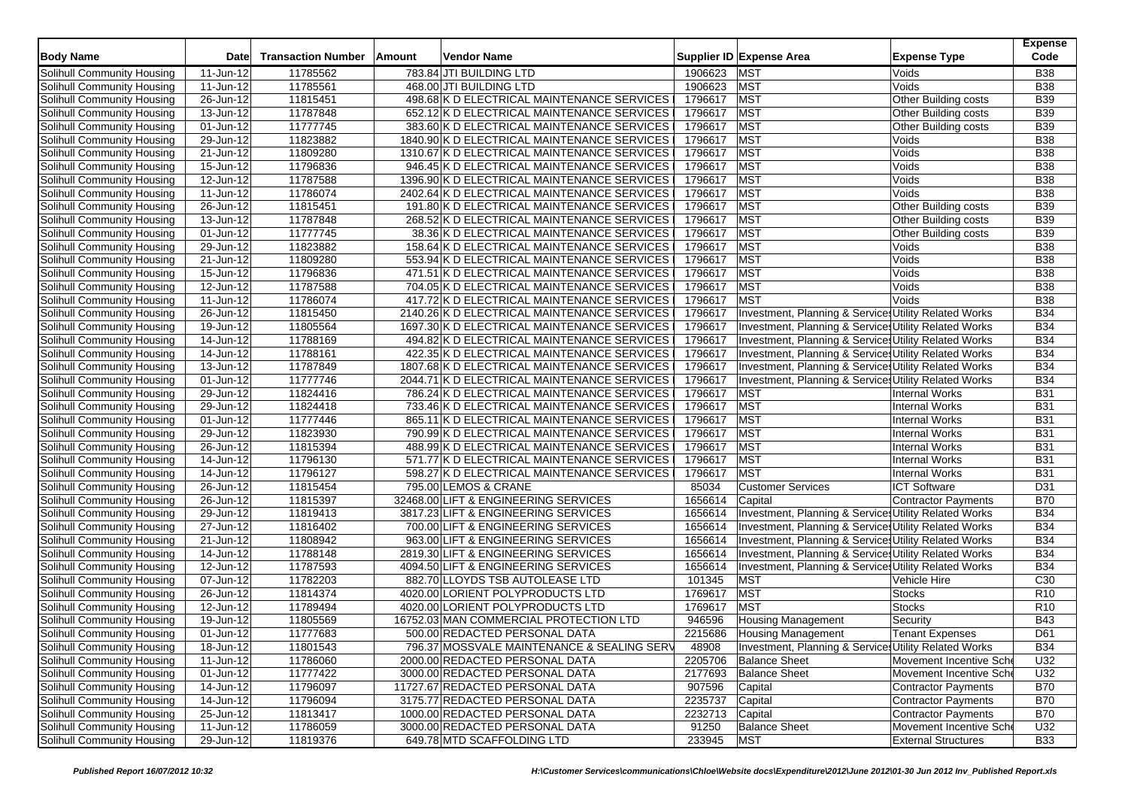| <b>Body Name</b>                  | <b>Date</b>  | <b>Transaction Number</b> | Amount | <b>Vendor Name</b>                          |             | Supplier ID Expense Area                              | <b>Expense Type</b>         | <b>Expense</b><br>Code |
|-----------------------------------|--------------|---------------------------|--------|---------------------------------------------|-------------|-------------------------------------------------------|-----------------------------|------------------------|
| Solihull Community Housing        | 11-Jun-12    | 11785562                  |        | 783.84 JTI BUILDING LTD                     | 1906623     | <b>MST</b>                                            | Voids                       | <b>B38</b>             |
| Solihull Community Housing        | 11-Jun-12    | 11785561                  |        | 468.00 JTI BUILDING LTD                     | 1906623     | <b>MST</b>                                            | Voids                       | <b>B38</b>             |
| Solihull Community Housing        | 26-Jun-12    | 11815451                  |        | 498.68 K D ELECTRICAL MAINTENANCE SERVICES  | 1796617 MST |                                                       | Other Building costs        | <b>B39</b>             |
| Solihull Community Housing        | 13-Jun-12    | 11787848                  |        | 652.12 K D ELECTRICAL MAINTENANCE SERVICES  | 1796617     | MST                                                   | <b>Other Building costs</b> | <b>B39</b>             |
| Solihull Community Housing        | 01-Jun-12    | 11777745                  |        | 383.60 K D ELECTRICAL MAINTENANCE SERVICES  | 1796617     | <b>MST</b>                                            | <b>Other Building costs</b> | <b>B39</b>             |
| Solihull Community Housing        | 29-Jun-12    | 11823882                  |        | 1840.90 K D ELECTRICAL MAINTENANCE SERVICES | 1796617     | <b>MST</b>                                            | Voids                       | <b>B38</b>             |
| Solihull Community Housing        | 21-Jun-12    | 11809280                  |        | 1310.67 K D ELECTRICAL MAINTENANCE SERVICES | 1796617     | MST                                                   | Voids                       | <b>B38</b>             |
| Solihull Community Housing        | 15-Jun-12    | 11796836                  |        | 946.45 K D ELECTRICAL MAINTENANCE SERVICES  | 1796617     | <b>MST</b>                                            | Voids                       | <b>B38</b>             |
| Solihull Community Housing        | 12-Jun-12    | 11787588                  |        | 1396.90 K D ELECTRICAL MAINTENANCE SERVICES | 1796617     | MST                                                   | Voids                       | <b>B38</b>             |
| Solihull Community Housing        | 11-Jun-12    | 11786074                  |        | 2402.64 K D ELECTRICAL MAINTENANCE SERVICES | 1796617     | <b>MST</b>                                            | Voids                       | <b>B38</b>             |
| Solihull Community Housing        | 26-Jun-12    | 11815451                  |        | 191.80 K D ELECTRICAL MAINTENANCE SERVICES  | 1796617     | <b>MST</b>                                            | Other Building costs        | <b>B39</b>             |
| Solihull Community Housing        | $13$ -Jun-12 | 11787848                  |        | 268.52 K D ELECTRICAL MAINTENANCE SERVICES  | 1796617     | <b>MST</b>                                            | Other Building costs        | <b>B39</b>             |
| Solihull Community Housing        | 01-Jun-12    | 11777745                  |        | 38.36 K D ELECTRICAL MAINTENANCE SERVICES   | 1796617     | <b>MST</b>                                            | <b>Other Building costs</b> | <b>B39</b>             |
| Solihull Community Housing        | 29-Jun-12    | 11823882                  |        | 158.64 K D ELECTRICAL MAINTENANCE SERVICES  | 1796617     | MST                                                   | Voids                       | <b>B38</b>             |
| Solihull Community Housing        | 21-Jun-12    | 11809280                  |        | 553.94 K D ELECTRICAL MAINTENANCE SERVICES  | 1796617     | <b>MST</b>                                            | Voids                       | <b>B</b> 38            |
| Solihull Community Housing        | 15-Jun-12    | 11796836                  |        | 471.51 K D ELECTRICAL MAINTENANCE SERVICES  | 1796617     | <b>MST</b>                                            | Voids                       | <b>B</b> 38            |
| Solihull Community Housing        | 12-Jun-12    | 11787588                  |        | 704.05 K D ELECTRICAL MAINTENANCE SERVICES  | 1796617     | MST                                                   | Voids                       | <b>B38</b>             |
| Solihull Community Housing        | 11-Jun-12    | 11786074                  |        | 417.72 K D ELECTRICAL MAINTENANCE SERVICES  | 1796617     | <b>MST</b>                                            | Voids                       | <b>B38</b>             |
| Solihull Community Housing        | 26-Jun-12    | 11815450                  |        | 2140.26 K D ELECTRICAL MAINTENANCE SERVICES | 1796617     | Investment, Planning & Services Utility Related Works |                             | <b>B34</b>             |
| Solihull Community Housing        | 19-Jun-12    | 11805564                  |        | 1697.30 K D ELECTRICAL MAINTENANCE SERVICES | 1796617     | Investment, Planning & Services Utility Related Works |                             | <b>B34</b>             |
| Solihull Community Housing        | 14-Jun-12    | 11788169                  |        | 494.82 K D ELECTRICAL MAINTENANCE SERVICES  | 1796617     | Investment, Planning & Services Utility Related Works |                             | <b>B34</b>             |
| Solihull Community Housing        | 14-Jun-12    | 11788161                  |        | 422.35 K D ELECTRICAL MAINTENANCE SERVICES  | 1796617     | Investment, Planning & Services Utility Related Works |                             | <b>B34</b>             |
| Solihull Community Housing        | 13-Jun-12    | 11787849                  |        | 1807.68 K D ELECTRICAL MAINTENANCE SERVICES | 1796617     | Investment, Planning & Services Utility Related Works |                             | <b>B34</b>             |
| Solihull Community Housing        | 01-Jun-12    | 11777746                  |        | 2044.71 K D ELECTRICAL MAINTENANCE SERVICES | 1796617     | Investment, Planning & Service Utility Related Works  |                             | <b>B34</b>             |
| Solihull Community Housing        | 29-Jun-12    | 11824416                  |        | 786.24 K D ELECTRICAL MAINTENANCE SERVICES  | 1796617     | <b>MST</b>                                            | <b>Internal Works</b>       | <b>B31</b>             |
| Solihull Community Housing        | 29-Jun-12    | 11824418                  |        | 733.46 K D ELECTRICAL MAINTENANCE SERVICES  | 1796617     | MST                                                   | <b>Internal Works</b>       | <b>B31</b>             |
| Solihull Community Housing        | 01-Jun-12    | 11777446                  |        | 865.11 K D ELECTRICAL MAINTENANCE SERVICES  | 1796617     | <b>MST</b>                                            | <b>Internal Works</b>       | <b>B31</b>             |
| Solihull Community Housing        | 29-Jun-12    | 11823930                  |        | 790.99 K D ELECTRICAL MAINTENANCE SERVICES  | 1796617     | <b>MST</b>                                            | <b>Internal Works</b>       | <b>B31</b>             |
| Solihull Community Housing        | 26-Jun-12    | 11815394                  |        | 488.99 K D ELECTRICAL MAINTENANCE SERVICES  | 1796617     | <b>MST</b>                                            | <b>Internal Works</b>       | <b>B31</b>             |
| Solihull Community Housing        | $14$ -Jun-12 | 11796130                  |        | 571.77 K D ELECTRICAL MAINTENANCE SERVICES  | 1796617     | <b>MST</b>                                            | <b>Internal Works</b>       | <b>B31</b>             |
| Solihull Community Housing        | 14-Jun-12    | 11796127                  |        | 598.27 K D ELECTRICAL MAINTENANCE SERVICES  | 1796617     | <b>MST</b>                                            | <b>Internal Works</b>       | <b>B31</b>             |
| Solihull Community Housing        | 26-Jun-12    | 11815454                  |        | 795.00 LEMOS & CRANE                        | 85034       | <b>Customer Services</b>                              | <b>ICT Software</b>         | D31                    |
| Solihull Community Housing        | 26-Jun-12    | 11815397                  |        | 32468.00 LIFT & ENGINEERING SERVICES        | 1656614     | Capital                                               | Contractor Payments         | <b>B70</b>             |
| Solihull Community Housing        | 29-Jun-12    | 11819413                  |        | 3817.23 LIFT & ENGINEERING SERVICES         | 1656614     | Investment, Planning & Services Utility Related Works |                             | <b>B34</b>             |
| Solihull Community Housing        | 27-Jun-12    | 11816402                  |        | 700.00 LIFT & ENGINEERING SERVICES          | 1656614     | Investment, Planning & Services Utility Related Works |                             | <b>B34</b>             |
| Solihull Community Housing        | 21-Jun-12    | 11808942                  |        | 963.00 LIFT & ENGINEERING SERVICES          | 1656614     | Investment, Planning & Services Utility Related Works |                             | <b>B34</b>             |
| Solihull Community Housing        | 14-Jun-12    | 11788148                  |        | 2819.30 LIFT & ENGINEERING SERVICES         | 1656614     | Investment, Planning & Services Utility Related Works |                             | <b>B34</b>             |
| Solihull Community Housing        | 12-Jun-12    | 11787593                  |        | 4094.50 LIFT & ENGINEERING SERVICES         | 1656614     | Investment, Planning & Services Utility Related Works |                             | <b>B34</b>             |
| Solihull Community Housing        | 07-Jun-12    | 11782203                  |        | 882.70 LLOYDS TSB AUTOLEASE LTD             | 101345      | <b>MST</b>                                            | Vehicle Hire                | C <sub>30</sub>        |
| Solihull Community Housing        | 26-Jun-12    | 11814374                  |        | 4020.00 LORIENT POLYPRODUCTS LTD            | 1769617     | MST                                                   | <b>Stocks</b>               | R <sub>10</sub>        |
| Solihull Community Housing        | 12-Jun-12    | 11789494                  |        | 4020.00 LORIENT POLYPRODUCTS LTD            | 1769617     | <b>MST</b>                                            | <b>Stocks</b>               | R <sub>10</sub>        |
| Solihull Community Housing        | 19-Jun-12    | 11805569                  |        | 16752.03 MAN COMMERCIAL PROTECTION LTD      | 946596      | <b>Housing Management</b>                             | Security                    | <b>B43</b>             |
| Solihull Community Housing        | 01-Jun-12    | 11777683                  |        | 500.00 REDACTED PERSONAL DATA               | 2215686     | Housing Management                                    | <b>Tenant Expenses</b>      | D61                    |
| Solihull Community Housing        | 18-Jun-12    | 11801543                  |        | 796.37 MOSSVALE MAINTENANCE & SEALING SERV  | 48908       | Investment, Planning & Services Utility Related Works |                             | <b>B34</b>             |
| Solihull Community Housing        | 11-Jun-12    | 11786060                  |        | 2000.00 REDACTED PERSONAL DATA              | 2205706     | <b>Balance Sheet</b>                                  | Movement Incentive Sche     | U32                    |
| Solihull Community Housing        | 01-Jun-12    | 11777422                  |        | 3000.00 REDACTED PERSONAL DATA              | 2177693     | <b>Balance Sheet</b>                                  | Movement Incentive Sche     | U32                    |
| Solihull Community Housing        | 14-Jun-12    | 11796097                  |        | 11727.67 REDACTED PERSONAL DATA             | 907596      | Capital                                               | <b>Contractor Payments</b>  | <b>B70</b>             |
| Solihull Community Housing        | 14-Jun-12    | 11796094                  |        | 3175.77 REDACTED PERSONAL DATA              | 2235737     | Capital                                               | Contractor Payments         | <b>B70</b>             |
| Solihull Community Housing        | 25-Jun-12    | 11813417                  |        | 1000.00 REDACTED PERSONAL DATA              | 2232713     | Capital                                               | Contractor Payments         | <b>B70</b>             |
| <b>Solihull Community Housing</b> | 11-Jun-12    | 11786059                  |        | 3000.00 REDACTED PERSONAL DATA              | 91250       | <b>Balance Sheet</b>                                  | Movement Incentive Sche     | U32                    |
| Solihull Community Housing        | 29-Jun-12    | 11819376                  |        | 649.78 MTD SCAFFOLDING LTD                  | 233945      | <b>MST</b>                                            | <b>External Structures</b>  | <b>B33</b>             |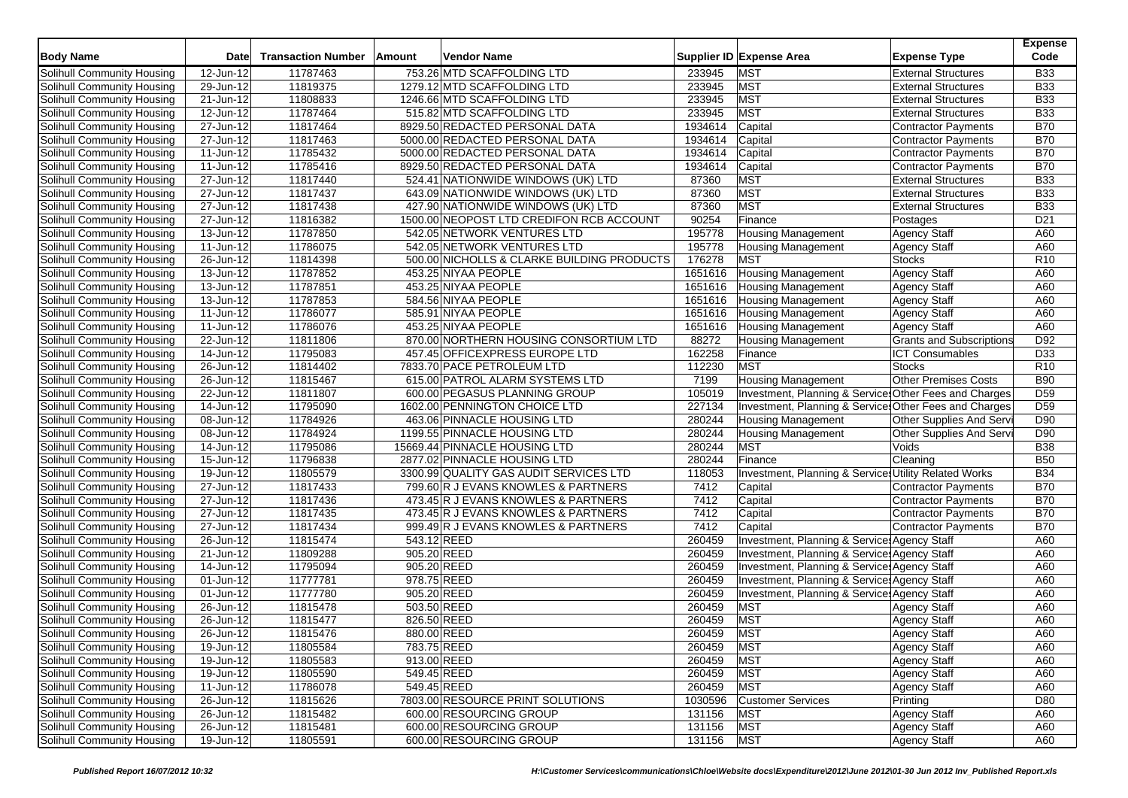| <b>Body Name</b>                  | <b>Date</b>             | <b>Transaction Number</b> | Amount      | Vendor Name                                |         | Supplier ID Expense Area                              | <b>Expense Type</b>             | <b>Expense</b><br>Code |
|-----------------------------------|-------------------------|---------------------------|-------------|--------------------------------------------|---------|-------------------------------------------------------|---------------------------------|------------------------|
| Solihull Community Housing        | 12-Jun-12               | 11787463                  |             | 753.26 MTD SCAFFOLDING LTD                 | 233945  | <b>MST</b>                                            | <b>External Structures</b>      | <b>B33</b>             |
| Solihull Community Housing        | $29$ -Jun-12            | 11819375                  |             | 1279.12 MTD SCAFFOLDING LTD                | 233945  | <b>MST</b>                                            | <b>External Structures</b>      | <b>B33</b>             |
| Solihull Community Housing        | 21-Jun-12               | 11808833                  |             | 1246.66 MTD SCAFFOLDING LTD                | 233945  | <b>MST</b>                                            | <b>External Structures</b>      | <b>B33</b>             |
| Solihull Community Housing        | $12$ -Jun-12            | 11787464                  |             | 515.82 MTD SCAFFOLDING LTD                 | 233945  | <b>MST</b>                                            | <b>External Structures</b>      | <b>B33</b>             |
| Solihull Community Housing        | 27-Jun-12               | 11817464                  |             | 8929.50 REDACTED PERSONAL DATA             | 1934614 | Capital                                               | Contractor Payments             | <b>B70</b>             |
| Solihull Community Housing        | 27-Jun-12               | 11817463                  |             | 5000.00 REDACTED PERSONAL DATA             | 1934614 | Capital                                               | <b>Contractor Payments</b>      | <b>B70</b>             |
| Solihull Community Housing        | 11-Jun-12               | 11785432                  |             | 5000.00 REDACTED PERSONAL DATA             | 1934614 | Capital                                               | <b>Contractor Payments</b>      | <b>B70</b>             |
| Solihull Community Housing        | 11-Jun-12               | 11785416                  |             | 8929.50 REDACTED PERSONAL DATA             | 1934614 | Capital                                               | <b>Contractor Payments</b>      | <b>B70</b>             |
| Solihull Community Housing        | 27-Jun-12               | 11817440                  |             | 524.41 NATIONWIDE WINDOWS (UK) LTD         | 87360   | <b>MST</b>                                            | <b>External Structures</b>      | <b>B33</b>             |
| Solihull Community Housing        | 27-Jun-12               | 11817437                  |             | 643.09 NATIONWIDE WINDOWS (UK) LTD         | 87360   | <b>MST</b>                                            | <b>External Structures</b>      | <b>B33</b>             |
| Solihull Community Housing        | 27-Jun-12               | 11817438                  |             | 427.90 NATIONWIDE WINDOWS (UK) LTD         | 87360   | <b>MST</b>                                            | <b>External Structures</b>      | <b>B33</b>             |
| Solihull Community Housing        | 27-Jun-12               | 11816382                  |             | 1500.00 NEOPOST LTD CREDIFON RCB ACCOUNT   | 90254   | Finance                                               | Postages                        | D <sub>21</sub>        |
| Solihull Community Housing        | 13-Jun-12               | 11787850                  |             | 542.05 NETWORK VENTURES LTD                | 195778  | <b>Housing Management</b>                             | <b>Agency Staff</b>             | A60                    |
| Solihull Community Housing        | 11-Jun-12               | 11786075                  |             | 542.05 NETWORK VENTURES LTD                | 195778  | <b>Housing Management</b>                             | <b>Agency Staff</b>             | A60                    |
| <b>Solihull Community Housing</b> | 26-Jun-12               | 11814398                  |             | 500.00 NICHOLLS & CLARKE BUILDING PRODUCTS | 176278  | <b>MST</b>                                            | <b>Stocks</b>                   | R <sub>10</sub>        |
| Solihull Community Housing        | 13-Jun-12               | 11787852                  |             | 453.25 NIYAA PEOPLE                        | 1651616 | <b>Housing Management</b>                             | Agency Staff                    | A60                    |
| Solihull Community Housing        | 13-Jun-12               | 11787851                  |             | 453.25 NIYAA PEOPLE                        | 1651616 | <b>Housing Management</b>                             | Agency Staff                    | A60                    |
| Solihull Community Housing        | 13-Jun-12               | 11787853                  |             | 584.56 NIYAA PEOPLE                        | 1651616 | <b>Housing Management</b>                             | <b>Agency Staff</b>             | A60                    |
| Solihull Community Housing        | 11-Jun-12               | 11786077                  |             | 585.91 NIYAA PEOPLE                        | 1651616 | <b>Housing Management</b>                             | Agency Staff                    | A60                    |
| Solihull Community Housing        | 11-Jun-12               | 11786076                  |             | 453.25 NIYAA PEOPLE                        | 1651616 | <b>Housing Management</b>                             | <b>Agency Staff</b>             | A60                    |
| Solihull Community Housing        | 22-Jun-12               | 11811806                  |             | 870.00 NORTHERN HOUSING CONSORTIUM LTD     | 88272   | <b>Housing Management</b>                             | <b>Grants and Subscriptions</b> | D92                    |
| Solihull Community Housing        | $14$ -Jun-12            | 11795083                  |             | 457.45 OFFICEXPRESS EUROPE LTD             | 162258  | Finance                                               | <b>ICT Consumables</b>          | D <sub>33</sub>        |
| <b>Solihull Community Housing</b> | 26-Jun-12               | 11814402                  |             | 7833.70 PACE PETROLEUM LTD                 | 112230  | <b>MST</b>                                            | <b>Stocks</b>                   | R10                    |
| Solihull Community Housing        | 26-Jun-12               | 11815467                  |             | 615.00 PATROL ALARM SYSTEMS LTD            | 7199    | <b>Housing Management</b>                             | Other Premises Costs            | <b>B90</b>             |
| Solihull Community Housing        | $22$ -Jun-12            | 11811807                  |             | 600.00 PEGASUS PLANNING GROUP              | 105019  | Investment, Planning & Service Other Fees and Charges |                                 | D <sub>59</sub>        |
| Solihull Community Housing        | 14-Jun-12               | 11795090                  |             | 1602.00 PENNINGTON CHOICE LTD              | 227134  | Investment, Planning & Service Other Fees and Charges |                                 | D <sub>59</sub>        |
| Solihull Community Housing        | 08-Jun-12               | 11784926                  |             | 463.06 PINNACLE HOUSING LTD                | 280244  | <b>Housing Management</b>                             | Other Supplies And Servi        | D90                    |
| Solihull Community Housing        | $\overline{08}$ -Jun-12 | 11784924                  |             | 1199.55 PINNACLE HOUSING LTD               | 280244  | <b>Housing Management</b>                             | Other Supplies And Servi        | D90                    |
| Solihull Community Housing        | 14-Jun-12               | 11795086                  |             | 15669.44 PINNACLE HOUSING LTD              | 280244  | <b>MST</b>                                            | Voids                           | <b>B</b> 38            |
| Solihull Community Housing        | 15-Jun-12               | 11796838                  |             | 2877.02 PINNACLE HOUSING LTD               | 280244  | Finance                                               | Cleaning                        | <b>B50</b>             |
| Solihull Community Housing        | 19-Jun-12               | 11805579                  |             | 3300.99 QUALITY GAS AUDIT SERVICES LTD     | 118053  | Investment, Planning & Services Utility Related Works |                                 | <b>B34</b>             |
| Solihull Community Housing        | 27-Jun-12               | 11817433                  |             | 799.60 R J EVANS KNOWLES & PARTNERS        | 7412    | Capital                                               | <b>Contractor Payments</b>      | <b>B70</b>             |
| Solihull Community Housing        | 27-Jun-12               | 11817436                  |             | 473.45 R J EVANS KNOWLES & PARTNERS        | 7412    | Capital                                               | Contractor Payments             | <b>B70</b>             |
| Solihull Community Housing        | $\overline{27}$ -Jun-12 | 11817435                  |             | 473.45 R J EVANS KNOWLES & PARTNERS        | 7412    | Capital                                               | Contractor Payments             | <b>B70</b>             |
| Solihull Community Housing        | 27-Jun-12               | 11817434                  |             | 999.49 R J EVANS KNOWLES & PARTNERS        | 7412    | Capital                                               | Contractor Payments             | <b>B70</b>             |
| Solihull Community Housing        | 26-Jun-12               | 11815474                  | 543.12 REED |                                            | 260459  | Investment, Planning & Services Agency Staff          |                                 | A60                    |
| Solihull Community Housing        | 21-Jun-12               | 11809288                  | 905.20 REED |                                            | 260459  | Investment, Planning & Services Agency Staff          |                                 | A60                    |
| Solihull Community Housing        | 14-Jun-12               | 11795094                  | 905.20 REED |                                            | 260459  | Investment, Planning & Services Agency Staff          |                                 | A60                    |
| Solihull Community Housing        | 01-Jun-12               | 11777781                  | 978.75 REED |                                            | 260459  | Investment, Planning & Services Agency Staff          |                                 | A60                    |
| Solihull Community Housing        | 01-Jun-12               | 11777780                  | 905.20 REED |                                            | 260459  | Investment, Planning & Service Agency Staff           |                                 | A60                    |
| Solihull Community Housing        | 26-Jun-12               | 11815478                  | 503.50 REED |                                            | 260459  | <b>MST</b>                                            | <b>Agency Staff</b>             | A60                    |
| Solihull Community Housing        | 26-Jun-12               | 11815477                  | 826.50 REED |                                            | 260459  | MST                                                   | <b>Agency Staff</b>             | A60                    |
| Solihull Community Housing        | 26-Jun-12               | 11815476                  | 880.00 REED |                                            | 260459  | <b>MST</b>                                            | Agency Staff                    | A60                    |
| Solihull Community Housing        | 19-Jun-12               | 11805584                  | 783.75 REED |                                            | 260459  | <b>MST</b>                                            | <b>Agency Staff</b>             | A60                    |
| Solihull Community Housing        | 19-Jun-12               | 11805583                  | 913.00 REED |                                            | 260459  | <b>MST</b>                                            | <b>Agency Staff</b>             | A60                    |
| Solihull Community Housing        | 19-Jun-12               | 11805590                  | 549.45 REED |                                            | 260459  | <b>MST</b>                                            | <b>Agency Staff</b>             | A60                    |
| Solihull Community Housing        | 11-Jun-12               | 11786078                  | 549.45 REED |                                            | 260459  | <b>MST</b>                                            | Agency Staff                    | A60                    |
| Solihull Community Housing        | 26-Jun-12               | 11815626                  |             | 7803.00 RESOURCE PRINT SOLUTIONS           | 1030596 | <b>Customer Services</b>                              | Printing                        | D80                    |
| Solihull Community Housing        | 26-Jun-12               | 11815482                  |             | 600.00 RESOURCING GROUP                    | 131156  | <b>MST</b>                                            | <b>Agency Staff</b>             | A60                    |
| <b>Solihull Community Housing</b> | 26-Jun-12               | 11815481                  |             | 600.00 RESOURCING GROUP                    | 131156  | <b>MST</b>                                            | <b>Agency Staff</b>             | A60                    |
| Solihull Community Housing        | 19-Jun-12               | 11805591                  |             | 600.00 RESOURCING GROUP                    | 131156  | <b>MST</b>                                            | Agency Staff                    | A60                    |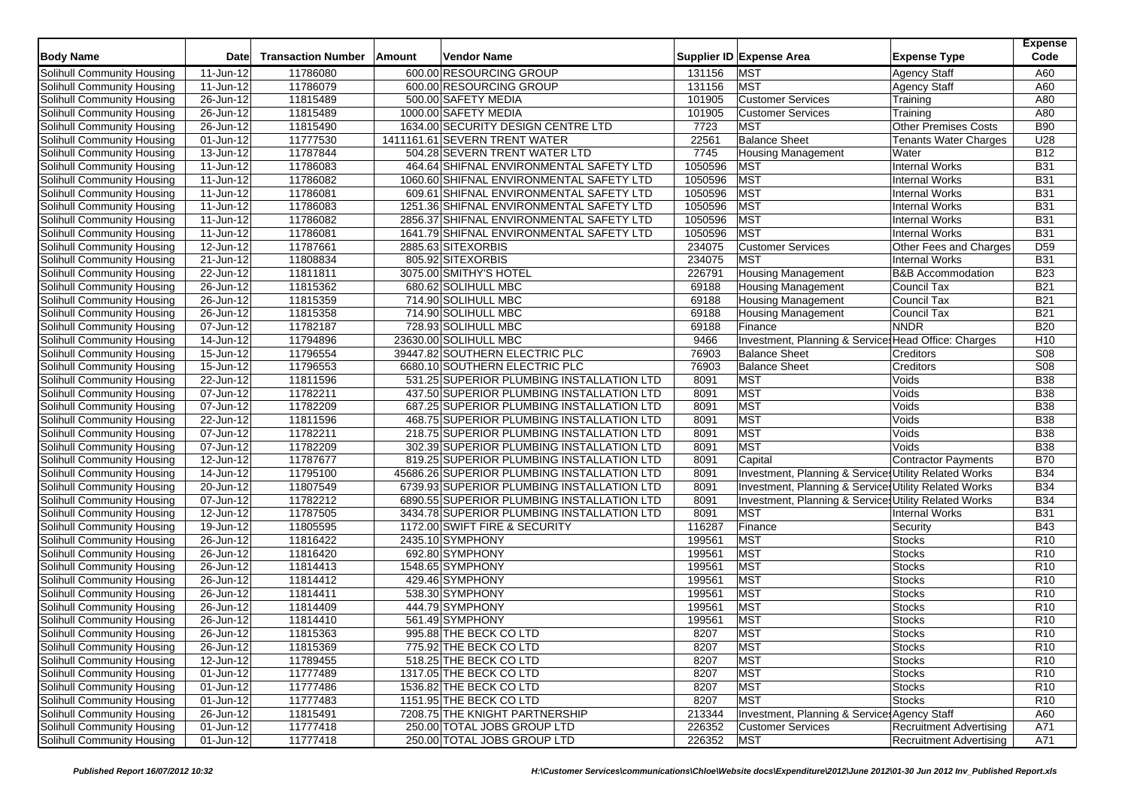| <b>Body Name</b>                  | Date          | <b>Transaction Number</b> | Amount | <b>Vendor Name</b>                          |         | Supplier ID Expense Area                              | <b>Expense Type</b>            | <b>Expense</b><br>Code |
|-----------------------------------|---------------|---------------------------|--------|---------------------------------------------|---------|-------------------------------------------------------|--------------------------------|------------------------|
| Solihull Community Housing        | 11-Jun-12     | 11786080                  |        | 600.00 RESOURCING GROUP                     | 131156  | <b>MST</b>                                            | <b>Agency Staff</b>            | A60                    |
| Solihull Community Housing        | 11-Jun-12     | 11786079                  |        | 600.00 RESOURCING GROUP                     | 131156  | <b>MST</b>                                            | <b>Agency Staff</b>            | A60                    |
| <b>Solihull Community Housing</b> | 26-Jun-12     | 11815489                  |        | 500.00 SAFETY MEDIA                         | 101905  | <b>Customer Services</b>                              | Training                       | A80                    |
| Solihull Community Housing        | 26-Jun-12     | 11815489                  |        | 1000.00 SAFETY MEDIA                        | 101905  | <b>Customer Services</b>                              | Training                       | A80                    |
| Solihull Community Housing        | 26-Jun-12     | 11815490                  |        | 1634.00 SECURITY DESIGN CENTRE LTD          | 7723    | <b>MST</b>                                            | <b>Other Premises Costs</b>    | <b>B90</b>             |
| Solihull Community Housing        | 01-Jun-12     | 11777530                  |        | 1411161.61 SEVERN TRENT WATER               | 22561   | <b>Balance Sheet</b>                                  | <b>Tenants Water Charges</b>   | U28                    |
| Solihull Community Housing        | 13-Jun-12     | 11787844                  |        | 504.28 SEVERN TRENT WATER LTD               | 7745    | <b>Housing Management</b>                             | Water                          | <b>B12</b>             |
| Solihull Community Housing        | 11-Jun-12     | 11786083                  |        | 464.64 SHIFNAL ENVIRONMENTAL SAFETY LTD     | 1050596 | <b>MST</b>                                            | <b>Internal Works</b>          | <b>B31</b>             |
| Solihull Community Housing        | 11-Jun-12     | 11786082                  |        | 1060.60 SHIFNAL ENVIRONMENTAL SAFETY LTD    | 1050596 | <b>MST</b>                                            | <b>Internal Works</b>          | <b>B31</b>             |
| Solihull Community Housing        | 11-Jun-12     | 11786081                  |        | 609.61 SHIFNAL ENVIRONMENTAL SAFETY LTD     | 1050596 | <b>MST</b>                                            | <b>Internal Works</b>          | <b>B31</b>             |
| Solihull Community Housing        | 11-Jun-12     | 11786083                  |        | 1251.36 SHIFNAL ENVIRONMENTAL SAFETY LTD    | 1050596 | <b>MST</b>                                            | <b>Internal Works</b>          | <b>B31</b>             |
| Solihull Community Housing        | 11-Jun-12     | 11786082                  |        | 2856.37 SHIFNAL ENVIRONMENTAL SAFETY LTD    | 1050596 | <b>MST</b>                                            | <b>Internal Works</b>          | <b>B31</b>             |
| Solihull Community Housing        | 11-Jun-12     | 11786081                  |        | 1641.79 SHIFNAL ENVIRONMENTAL SAFETY LTD    | 1050596 | <b>MST</b>                                            | <b>Internal Works</b>          | <b>B31</b>             |
| Solihull Community Housing        | 12-Jun-12     | 11787661                  |        | 2885.63 SITEXORBIS                          | 234075  | <b>Customer Services</b>                              | Other Fees and Charges         | D <sub>59</sub>        |
| <b>Solihull Community Housing</b> | 21-Jun-12     | 11808834                  |        | 805.92 SITEXORBIS                           | 234075  | <b>MST</b>                                            | Internal Works                 | <b>B31</b>             |
| Solihull Community Housing        | 22-Jun-12     | 11811811                  |        | 3075.00 SMITHY'S HOTEL                      | 226791  | <b>Housing Management</b>                             | <b>B&amp;B Accommodation</b>   | <b>B23</b>             |
| Solihull Community Housing        | 26-Jun-12     | 11815362                  |        | 680.62 SOLIHULL MBC                         | 69188   | <b>Housing Management</b>                             | Council Tax                    | <b>B21</b>             |
| Solihull Community Housing        | 26-Jun-12     | 11815359                  |        | 714.90 SOLIHULL MBC                         | 69188   | <b>Housing Management</b>                             | Council Tax                    | <b>B21</b>             |
| Solihull Community Housing        | 26-Jun-12     | 11815358                  |        | 714.90 SOLIHULL MBC                         | 69188   | <b>Housing Management</b>                             | Council Tax                    | <b>B21</b>             |
| Solihull Community Housing        | 07-Jun-12     | 11782187                  |        | 728.93 SOLIHULL MBC                         | 69188   | Finance                                               | <b>NNDR</b>                    | <b>B20</b>             |
| Solihull Community Housing        | 14-Jun-12     | 11794896                  |        | 23630.00 SOLIHULL MBC                       | 9466    | Investment, Planning & Service: Head Office: Charges  |                                | H <sub>10</sub>        |
| Solihull Community Housing        | $15 - Jun-12$ | 11796554                  |        | 39447.82 SOUTHERN ELECTRIC PLC              | 76903   | <b>Balance Sheet</b>                                  | Creditors                      | S <sub>08</sub>        |
| Solihull Community Housing        | 15-Jun-12     | 11796553                  |        | 6680.10 SOUTHERN ELECTRIC PLC               | 76903   | <b>Balance Sheet</b>                                  | Creditors                      | S <sub>08</sub>        |
| Solihull Community Housing        | $22$ -Jun-12  | 11811596                  |        | 531.25 SUPERIOR PLUMBING INSTALLATION LTD   | 8091    | <b>MST</b>                                            | Voids                          | <b>B38</b>             |
| Solihull Community Housing        | 07-Jun-12     | 11782211                  |        | 437.50 SUPERIOR PLUMBING INSTALLATION LTD   | 8091    | <b>MST</b>                                            | Voids                          | <b>B</b> 38            |
| Solihull Community Housing        | 07-Jun-12     | 11782209                  |        | 687.25 SUPERIOR PLUMBING INSTALLATION LTD   | 8091    | <b>MST</b>                                            | Voids                          | <b>B38</b>             |
| Solihull Community Housing        | 22-Jun-12     | 11811596                  |        | 468.75 SUPERIOR PLUMBING INSTALLATION LTD   | 8091    | <b>MST</b>                                            | Voids                          | <b>B38</b>             |
| Solihull Community Housing        | 07-Jun-12     | 11782211                  |        | 218.75 SUPERIOR PLUMBING INSTALLATION LTD   | 8091    | <b>MST</b>                                            | Voids                          | <b>B</b> 38            |
| <b>Solihull Community Housing</b> | 07-Jun-12     | 11782209                  |        | 302.39 SUPERIOR PLUMBING INSTALLATION LTD   | 8091    | <b>MST</b>                                            | Voids                          | <b>B</b> 38            |
| Solihull Community Housing        | 12-Jun-12     | 11787677                  |        | 819.25 SUPERIOR PLUMBING INSTALLATION LTD   | 8091    | Capital                                               | <b>Contractor Payments</b>     | <b>B70</b>             |
| Solihull Community Housing        | $14$ -Jun-12  | 11795100                  |        | 45686.26 SUPERIOR PLUMBING INSTALLATION LTD | 8091    | Investment, Planning & Services Utility Related Works |                                | <b>B34</b>             |
| Solihull Community Housing        | 20-Jun-12     | 11807549                  |        | 6739.93 SUPERIOR PLUMBING INSTALLATION LTD  | 8091    | Investment, Planning & Service Utility Related Works  |                                | <b>B34</b>             |
| Solihull Community Housing        | 07-Jun-12     | 11782212                  |        | 6890.55 SUPERIOR PLUMBING INSTALLATION LTD  | 8091    | Investment, Planning & Services Utility Related Works |                                | <b>B34</b>             |
| Solihull Community Housing        | 12-Jun-12     | 11787505                  |        | 3434.78 SUPERIOR PLUMBING INSTALLATION LTD  | 8091    | <b>MST</b>                                            | <b>Internal Works</b>          | <b>B31</b>             |
| Solihull Community Housing        | 19-Jun-12     | 11805595                  |        | 1172.00 SWIFT FIRE & SECURITY               | 116287  | Finance                                               | Security                       | <b>B43</b>             |
| Solihull Community Housing        | 26-Jun-12     | 11816422                  |        | 2435.10 SYMPHONY                            | 199561  | <b>MST</b>                                            | <b>Stocks</b>                  | R <sub>10</sub>        |
| Solihull Community Housing        | 26-Jun-12     | 11816420                  |        | 692.80 SYMPHONY                             | 199561  | <b>MST</b>                                            | Stocks                         | R <sub>10</sub>        |
| Solihull Community Housing        | 26-Jun-12     | 11814413                  |        | 1548.65 SYMPHONY                            | 199561  | <b>MST</b>                                            | <b>Stocks</b>                  | R <sub>10</sub>        |
| Solihull Community Housing        | 26-Jun-12     | 11814412                  |        | 429.46 SYMPHONY                             | 199561  | <b>MST</b>                                            | <b>Stocks</b>                  | R <sub>10</sub>        |
| Solihull Community Housing        | 26-Jun-12     | 11814411                  |        | 538.30 SYMPHONY                             | 199561  | <b>MST</b>                                            | <b>Stocks</b>                  | R <sub>10</sub>        |
| Solihull Community Housing        | 26-Jun-12     | 11814409                  |        | 444.79 SYMPHONY                             | 199561  | <b>MST</b>                                            | <b>Stocks</b>                  | R <sub>10</sub>        |
| Solihull Community Housing        | 26-Jun-12     | 11814410                  |        | 561.49 SYMPHONY                             | 199561  | <b>MST</b>                                            | <b>Stocks</b>                  | R <sub>10</sub>        |
| Solihull Community Housing        | 26-Jun-12     | 11815363                  |        | 995.88 THE BECK CO LTD                      | 8207    | <b>MST</b>                                            | <b>Stocks</b>                  | R <sub>10</sub>        |
| Solihull Community Housing        | 26-Jun-12     | 11815369                  |        | 775.92 THE BECK CO LTD                      | 8207    | <b>MST</b>                                            | <b>Stocks</b>                  | R <sub>10</sub>        |
| Solihull Community Housing        | 12-Jun-12     | 11789455                  |        | 518.25 THE BECK CO LTD                      | 8207    | <b>MST</b>                                            | <b>Stocks</b>                  | R <sub>10</sub>        |
| Solihull Community Housing        | 01-Jun-12     | 11777489                  |        | 1317.05 THE BECK CO LTD                     | 8207    | <b>MST</b>                                            | <b>Stocks</b>                  | R <sub>10</sub>        |
| Solihull Community Housing        | 01-Jun-12     | 11777486                  |        | 1536.82 THE BECK CO LTD                     | 8207    | <b>MST</b>                                            | <b>Stocks</b>                  | R <sub>10</sub>        |
| Solihull Community Housing        | 01-Jun-12     | 11777483                  |        | 1151.95 THE BECK CO LTD                     | 8207    | <b>MST</b>                                            | <b>Stocks</b>                  | R <sub>10</sub>        |
| Solihull Community Housing        | 26-Jun-12     | 11815491                  |        | 7208.75 THE KNIGHT PARTNERSHIP              | 213344  | Investment, Planning & Service: Agency Staff          |                                | A60                    |
| <b>Solihull Community Housing</b> | 01-Jun-12     | 11777418                  |        | 250.00 TOTAL JOBS GROUP LTD                 | 226352  | <b>Customer Services</b>                              | <b>Recruitment Advertising</b> | A71                    |
| Solihull Community Housing        | 01-Jun-12     | 11777418                  |        | 250.00 TOTAL JOBS GROUP LTD                 | 226352  | <b>MST</b>                                            | <b>Recruitment Advertising</b> | A71                    |
|                                   |               |                           |        |                                             |         |                                                       |                                |                        |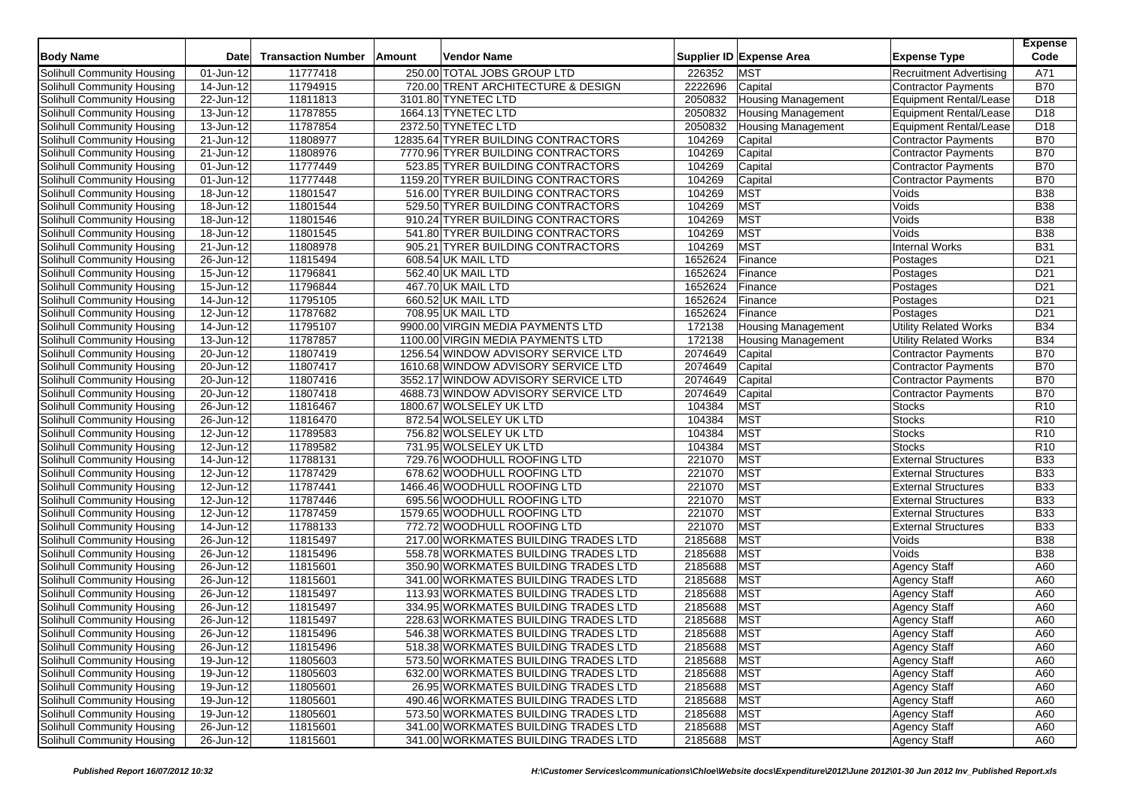| <b>Body Name</b>           | Date                    | <b>Transaction Number</b> | Amount | Vendor Name                          |             | Supplier ID Expense Area  | <b>Expense Type</b>            | <b>Expense</b><br>Code |
|----------------------------|-------------------------|---------------------------|--------|--------------------------------------|-------------|---------------------------|--------------------------------|------------------------|
| Solihull Community Housing | 01-Jun-12               | 11777418                  |        | 250.00 TOTAL JOBS GROUP LTD          | 226352      | <b>MST</b>                | <b>Recruitment Advertising</b> | A71                    |
| Solihull Community Housing | 14-Jun-12               | 11794915                  |        | 720.00 TRENT ARCHITECTURE & DESIGN   | 2222696     | Capital                   | <b>Contractor Payments</b>     | <b>B70</b>             |
| Solihull Community Housing | 22-Jun-12               | 11811813                  |        | 3101.80 TYNETEC LTD                  | 2050832     | <b>Housing Management</b> | <b>Equipment Rental/Lease</b>  | D <sub>18</sub>        |
| Solihull Community Housing | 13-Jun-12               | 11787855                  |        | 1664.13 TYNETEC LTD                  | 2050832     | Housing Management        | <b>Equipment Rental/Lease</b>  | D <sub>18</sub>        |
| Solihull Community Housing | 13-Jun-12               | 11787854                  |        | 2372.50 TYNETEC LTD                  | 2050832     | <b>Housing Management</b> | <b>Equipment Rental/Lease</b>  | D <sub>18</sub>        |
| Solihull Community Housing | 21-Jun-12               | 11808977                  |        | 12835.64 TYRER BUILDING CONTRACTORS  | 104269      | Capital                   | <b>Contractor Payments</b>     | <b>B70</b>             |
| Solihull Community Housing | $\overline{21}$ -Jun-12 | 11808976                  |        | 7770.96 TYRER BUILDING CONTRACTORS   | 104269      | Capital                   | <b>Contractor Payments</b>     | <b>B70</b>             |
| Solihull Community Housing | 01-Jun-12               | 11777449                  |        | 523.85 TYRER BUILDING CONTRACTORS    | 104269      | Capital                   | <b>Contractor Payments</b>     | <b>B70</b>             |
| Solihull Community Housing | 01-Jun-12               | 11777448                  |        | 1159.20 TYRER BUILDING CONTRACTORS   | 104269      | Capital                   | <b>Contractor Payments</b>     | <b>B70</b>             |
| Solihull Community Housing | 18-Jun-12               | 11801547                  |        | 516.00 TYRER BUILDING CONTRACTORS    | 104269      | <b>MST</b>                | Voids                          | <b>B38</b>             |
| Solihull Community Housing | 18-Jun-12               | 11801544                  |        | 529.50 TYRER BUILDING CONTRACTORS    | 104269      | <b>MST</b>                | Voids                          | <b>B38</b>             |
| Solihull Community Housing | $18 - Jun - 12$         | 11801546                  |        | 910.24 TYRER BUILDING CONTRACTORS    | 104269      | <b>MST</b>                | Voids                          | <b>B38</b>             |
| Solihull Community Housing | 18-Jun-12               | 11801545                  |        | 541.80 TYRER BUILDING CONTRACTORS    | 104269      | <b>MST</b>                | Voids                          | <b>B38</b>             |
| Solihull Community Housing | 21-Jun-12               | 11808978                  |        | 905.21 TYRER BUILDING CONTRACTORS    | 104269      | <b>MST</b>                | Internal Works                 | <b>B31</b>             |
| Solihull Community Housing | 26-Jun-12               | 11815494                  |        | 608.54 UK MAIL LTD                   | 1652624     | Finance                   | Postages                       | D <sub>21</sub>        |
| Solihull Community Housing | 15-Jun-12               | 11796841                  |        | 562.40 UK MAIL LTD                   | 1652624     | Finance                   | Postages                       | D <sub>21</sub>        |
| Solihull Community Housing | 15-Jun-12               | 11796844                  |        | 467.70 UK MAIL LTD                   | 1652624     | Finance                   | Postages                       | D <sub>21</sub>        |
| Solihull Community Housing | 14-Jun-12               | 11795105                  |        | 660.52 UK MAIL LTD                   | 1652624     | Finance                   | Postages                       | D <sub>21</sub>        |
| Solihull Community Housing | $\overline{12}$ -Jun-12 | 11787682                  |        | 708.95 UK MAIL LTD                   | 1652624     | Finance                   | Postages                       | D <sub>21</sub>        |
| Solihull Community Housing | 14-Jun-12               | 11795107                  |        | 9900.00 VIRGIN MEDIA PAYMENTS LTD    | 172138      | <b>Housing Management</b> | <b>Utility Related Works</b>   | <b>B34</b>             |
| Solihull Community Housing | 13-Jun-12               | 11787857                  |        | 1100.00 VIRGIN MEDIA PAYMENTS LTD    | 172138      | <b>Housing Management</b> | <b>Utility Related Works</b>   | <b>B34</b>             |
| Solihull Community Housing | 20-Jun-12               | 11807419                  |        | 1256.54 WINDOW ADVISORY SERVICE LTD  | 2074649     | Capital                   | <b>Contractor Payments</b>     | <b>B70</b>             |
| Solihull Community Housing | 20-Jun-12               | 11807417                  |        | 1610.68 WINDOW ADVISORY SERVICE LTD  | 2074649     | Capital                   | Contractor Payments            | <b>B70</b>             |
| Solihull Community Housing | $20$ -Jun-12            | 11807416                  |        | 3552.17 WINDOW ADVISORY SERVICE LTD  | 2074649     | Capital                   | <b>Contractor Payments</b>     | <b>B70</b>             |
| Solihull Community Housing | $\overline{20}$ -Jun-12 | 11807418                  |        | 4688.73 WINDOW ADVISORY SERVICE LTD  | 2074649     | Capital                   | <b>Contractor Payments</b>     | <b>B70</b>             |
| Solihull Community Housing | 26-Jun-12               | 11816467                  |        | 1800.67 WOLSELEY UK LTD              | 104384      | <b>MST</b>                | <b>Stocks</b>                  | R <sub>10</sub>        |
| Solihull Community Housing | 26-Jun-12               | 11816470                  |        | 872.54 WOLSELEY UK LTD               | 104384      | <b>MST</b>                | <b>Stocks</b>                  | R <sub>10</sub>        |
| Solihull Community Housing | 12-Jun-12               | 11789583                  |        | 756.82 WOLSELEY UK LTD               | 104384      | <b>MST</b>                | <b>Stocks</b>                  | R <sub>10</sub>        |
| Solihull Community Housing | 12-Jun-12               | 11789582                  |        | 731.95 WOLSELEY UK LTD               | 104384      | <b>MST</b>                | <b>Stocks</b>                  | R <sub>10</sub>        |
| Solihull Community Housing | $14$ -Jun-12            | 11788131                  |        | 729.76 WOODHULL ROOFING LTD          | 221070      | <b>MST</b>                | <b>External Structures</b>     | <b>B33</b>             |
| Solihull Community Housing | $\overline{12}$ -Jun-12 | 11787429                  |        | 678.62 WOODHULL ROOFING LTD          | 221070      | <b>MST</b>                | <b>External Structures</b>     | <b>B33</b>             |
| Solihull Community Housing | 12-Jun-12               | 11787441                  |        | 1466.46 WOODHULL ROOFING LTD         | 221070      | MST                       | <b>External Structures</b>     | <b>B33</b>             |
| Solihull Community Housing | $\overline{12}$ -Jun-12 | 11787446                  |        | 695.56 WOODHULL ROOFING LTD          | 221070      | <b>MST</b>                | <b>External Structures</b>     | <b>B33</b>             |
| Solihull Community Housing | 12-Jun-12               | 11787459                  |        | 1579.65 WOODHULL ROOFING LTD         | 221070      | MST                       | <b>External Structures</b>     | <b>B33</b>             |
| Solihull Community Housing | 14-Jun-12               | 11788133                  |        | 772.72 WOODHULL ROOFING LTD          | 221070      | MST                       | <b>External Structures</b>     | <b>B33</b>             |
| Solihull Community Housing | $26$ -Jun-12            | 11815497                  |        | 217.00 WORKMATES BUILDING TRADES LTD | 2185688     | <b>MST</b>                | Voids                          | <b>B38</b>             |
| Solihull Community Housing | 26-Jun-12               | 11815496                  |        | 558.78 WORKMATES BUILDING TRADES LTD | 2185688     | <b>MST</b>                | Voids                          | <b>B38</b>             |
| Solihull Community Housing | 26-Jun-12               | 11815601                  |        | 350.90 WORKMATES BUILDING TRADES LTD | 2185688     | MST                       | <b>Agency Staff</b>            | A60                    |
| Solihull Community Housing | 26-Jun-12               | 11815601                  |        | 341.00 WORKMATES BUILDING TRADES LTD | 2185688     | <b>MST</b>                | <b>Agency Staff</b>            | A60                    |
| Solihull Community Housing | 26-Jun-12               | 11815497                  |        | 113.93 WORKMATES BUILDING TRADES LTD | 2185688     | <b>MST</b>                | <b>Agency Staff</b>            | A60                    |
| Solihull Community Housing | 26-Jun-12               | 11815497                  |        | 334.95 WORKMATES BUILDING TRADES LTD | 2185688     | MST                       | <b>Agency Staff</b>            | A60                    |
| Solihull Community Housing | 26-Jun-12               | 11815497                  |        | 228.63 WORKMATES BUILDING TRADES LTD | 2185688     | <b>MST</b>                | <b>Agency Staff</b>            | A60                    |
| Solihull Community Housing | 26-Jun-12               | 11815496                  |        | 546.38 WORKMATES BUILDING TRADES LTD | 2185688     | MST                       | <b>Agency Staff</b>            | A60                    |
| Solihull Community Housing | 26-Jun-12               | 11815496                  |        | 518.38 WORKMATES BUILDING TRADES LTD | 2185688 MST |                           | <b>Agency Staff</b>            | A60                    |
| Solihull Community Housing | $19$ -Jun-12            | 11805603                  |        | 573.50 WORKMATES BUILDING TRADES LTD | 2185688     | <b>MST</b>                | <b>Agency Staff</b>            | A60                    |
| Solihull Community Housing | 19-Jun-12               | 11805603                  |        | 632.00 WORKMATES BUILDING TRADES LTD | 2185688     | <b>MST</b>                | <b>Agency Staff</b>            | A60                    |
| Solihull Community Housing | 19-Jun-12               | 11805601                  |        | 26.95 WORKMATES BUILDING TRADES LTD  | 2185688     | <b>MST</b>                | <b>Agency Staff</b>            | A60                    |
| Solihull Community Housing | 19-Jun-12               | 11805601                  |        | 490.46 WORKMATES BUILDING TRADES LTD | 2185688     | <b>MST</b>                | <b>Agency Staff</b>            | A60                    |
| Solihull Community Housing | $\overline{19}$ -Jun-12 | 11805601                  |        | 573.50 WORKMATES BUILDING TRADES LTD | 2185688     | <b>MST</b>                | <b>Agency Staff</b>            | A60                    |
| Solihull Community Housing | 26-Jun-12               | 11815601                  |        | 341.00 WORKMATES BUILDING TRADES LTD | 2185688     | <b>MST</b>                | <b>Agency Staff</b>            | A60                    |
| Solihull Community Housing | 26-Jun-12               | 11815601                  |        | 341.00 WORKMATES BUILDING TRADES LTD | 2185688 MST |                           | <b>Agency Staff</b>            | A60                    |